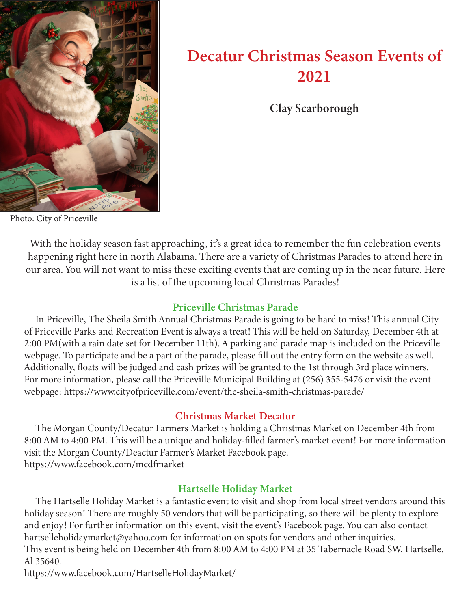

# Decatur Christmas Season Events of 2021

Clay Scarborough

Photo: City of Priceville

With the holiday season fast approaching, it's a great idea to remember the fun celebration events happening right here in north Alabama. There are a variety of Christmas Parades to attend here in our area. You will not want to miss these exciting events that are coming up in the near future. Here is a list of the upcoming local Christmas Parades!

## Priceville Christmas Parade

 In Priceville, The Sheila Smith Annual Christmas Parade is going to be hard to miss! This annual City of Priceville Parks and Recreation Event is always a treat! This will be held on Saturday, December 4th at 2:00 PM(with a rain date set for December 11th). A parking and parade map is included on the Priceville webpage. To participate and be a part of the parade, please fill out the entry form on the website as well. Additionally, floats will be judged and cash prizes will be granted to the 1st through 3rd place winners. For more information, please call the Priceville Municipal Building at (256) 355-5476 or visit the event webpage: https://www.cityofpriceville.com/event/the-sheila-smith-christmas-parade/

## Christmas Market Decatur

 The Morgan County/Decatur Farmers Market is holding a Christmas Market on December 4th from 8:00 AM to 4:00 PM. This will be a unique and holiday-filled farmer's market event! For more information visit the Morgan County/Deactur Farmer's Market Facebook page. https://www.facebook.com/mcdfmarket

## Hartselle Holiday Market

 The Hartselle Holiday Market is a fantastic event to visit and shop from local street vendors around this holiday season! There are roughly 50 vendors that will be participating, so there will be plenty to explore and enjoy! For further information on this event, visit the event's Facebook page. You can also contact hartselleholidaymarket@yahoo.com for information on spots for vendors and other inquiries. This event is being held on December 4th from 8:00 AM to 4:00 PM at 35 Tabernacle Road SW, Hartselle, Al 35640.

https://www.facebook.com/HartselleHolidayMarket/